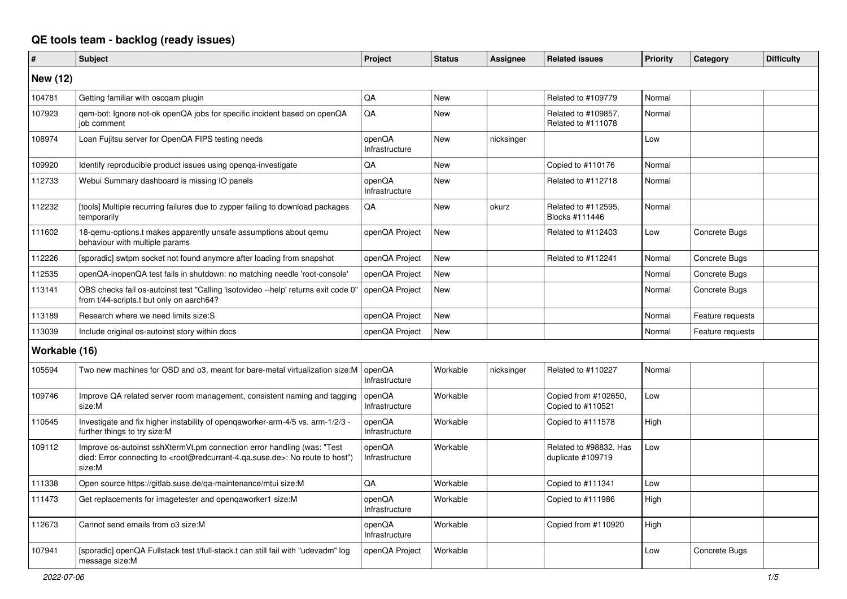## **QE tools team - backlog (ready issues)**

| #               | <b>Subject</b>                                                                                                                                                                                    | Project                  | <b>Status</b> | Assignee   | <b>Related issues</b>                       | Priority | Category         | <b>Difficulty</b> |
|-----------------|---------------------------------------------------------------------------------------------------------------------------------------------------------------------------------------------------|--------------------------|---------------|------------|---------------------------------------------|----------|------------------|-------------------|
| <b>New (12)</b> |                                                                                                                                                                                                   |                          |               |            |                                             |          |                  |                   |
| 104781          | Getting familiar with oscgam plugin                                                                                                                                                               | QA                       | <b>New</b>    |            | Related to #109779                          | Normal   |                  |                   |
| 107923          | qem-bot: Ignore not-ok openQA jobs for specific incident based on openQA<br>job comment                                                                                                           | QA                       | <b>New</b>    |            | Related to #109857,<br>Related to #111078   | Normal   |                  |                   |
| 108974          | Loan Fujitsu server for OpenQA FIPS testing needs                                                                                                                                                 | openQA<br>Infrastructure | New           | nicksinger |                                             | Low      |                  |                   |
| 109920          | Identify reproducible product issues using openga-investigate                                                                                                                                     | QA                       | <b>New</b>    |            | Copied to #110176                           | Normal   |                  |                   |
| 112733          | Webui Summary dashboard is missing IO panels                                                                                                                                                      | openQA<br>Infrastructure | New           |            | Related to #112718                          | Normal   |                  |                   |
| 112232          | [tools] Multiple recurring failures due to zypper failing to download packages<br>temporarily                                                                                                     | QA                       | <b>New</b>    | okurz      | Related to #112595,<br>Blocks #111446       | Normal   |                  |                   |
| 111602          | 18-gemu-options.t makes apparently unsafe assumptions about gemu<br>behaviour with multiple params                                                                                                | openQA Project           | New           |            | Related to #112403                          | Low      | Concrete Bugs    |                   |
| 112226          | [sporadic] swtpm socket not found anymore after loading from snapshot                                                                                                                             | openQA Project           | New           |            | Related to #112241                          | Normal   | Concrete Bugs    |                   |
| 112535          | openQA-inopenQA test fails in shutdown: no matching needle 'root-console'                                                                                                                         | openQA Project           | New           |            |                                             | Normal   | Concrete Bugs    |                   |
| 113141          | OBS checks fail os-autoinst test "Calling 'isotovideo --help' returns exit code 0"<br>from t/44-scripts.t but only on aarch64?                                                                    | openQA Project           | <b>New</b>    |            |                                             | Normal   | Concrete Bugs    |                   |
| 113189          | Research where we need limits size:S                                                                                                                                                              | openQA Project           | New           |            |                                             | Normal   | Feature requests |                   |
| 113039          | Include original os-autoinst story within docs                                                                                                                                                    | openQA Project           | <b>New</b>    |            |                                             | Normal   | Feature requests |                   |
| Workable (16)   |                                                                                                                                                                                                   |                          |               |            |                                             |          |                  |                   |
| 105594          | Two new machines for OSD and 03, meant for bare-metal virtualization size:M                                                                                                                       | openQA<br>Infrastructure | Workable      | nicksinger | Related to #110227                          | Normal   |                  |                   |
| 109746          | Improve QA related server room management, consistent naming and tagging<br>size:M                                                                                                                | openQA<br>Infrastructure | Workable      |            | Copied from #102650,<br>Copied to #110521   | Low      |                  |                   |
| 110545          | Investigate and fix higher instability of opengaworker-arm-4/5 vs. arm-1/2/3 -<br>further things to try size:M                                                                                    | openQA<br>Infrastructure | Workable      |            | Copied to #111578                           | High     |                  |                   |
| 109112          | Improve os-autoinst sshXtermVt.pm connection error handling (was: "Test<br>died: Error connecting to <root@redcurrant-4.qa.suse.de>: No route to host")<br/>size:M</root@redcurrant-4.qa.suse.de> | openQA<br>Infrastructure | Workable      |            | Related to #98832, Has<br>duplicate #109719 | Low      |                  |                   |
| 111338          | Open source https://gitlab.suse.de/qa-maintenance/mtui size:M                                                                                                                                     | QA                       | Workable      |            | Copied to #111341                           | Low      |                  |                   |
| 111473          | Get replacements for imagetester and openqaworker1 size:M                                                                                                                                         | openQA<br>Infrastructure | Workable      |            | Copied to #111986                           | High     |                  |                   |
| 112673          | Cannot send emails from o3 size:M                                                                                                                                                                 | openQA<br>Infrastructure | Workable      |            | Copied from #110920                         | High     |                  |                   |
| 107941          | [sporadic] openQA Fullstack test t/full-stack.t can still fail with "udevadm" log<br>message size:M                                                                                               | openQA Project           | Workable      |            |                                             | Low      | Concrete Bugs    |                   |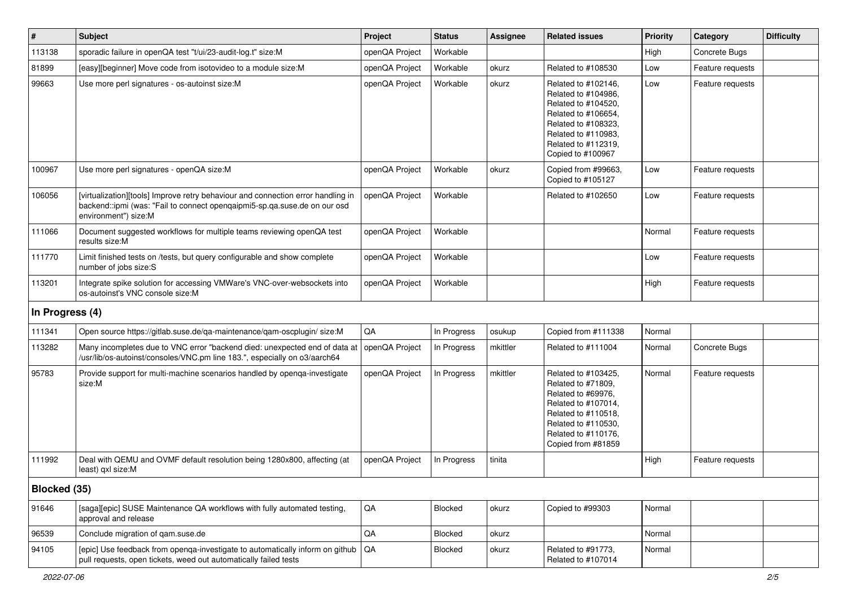| $\vert$ #       | <b>Subject</b>                                                                                                                                                                        | Project        | <b>Status</b>  | <b>Assignee</b> | <b>Related issues</b>                                                                                                                                                              | <b>Priority</b> | Category         | <b>Difficulty</b> |
|-----------------|---------------------------------------------------------------------------------------------------------------------------------------------------------------------------------------|----------------|----------------|-----------------|------------------------------------------------------------------------------------------------------------------------------------------------------------------------------------|-----------------|------------------|-------------------|
| 113138          | sporadic failure in openQA test "t/ui/23-audit-log.t" size:M                                                                                                                          | openQA Project | Workable       |                 |                                                                                                                                                                                    | High            | Concrete Bugs    |                   |
| 81899           | [easy][beginner] Move code from isotovideo to a module size:M                                                                                                                         | openQA Project | Workable       | okurz           | Related to #108530                                                                                                                                                                 | Low             | Feature requests |                   |
| 99663           | Use more perl signatures - os-autoinst size:M                                                                                                                                         | openQA Project | Workable       | okurz           | Related to #102146,<br>Related to #104986,<br>Related to #104520,<br>Related to #106654,<br>Related to #108323,<br>Related to #110983.<br>Related to #112319,<br>Copied to #100967 | Low             | Feature requests |                   |
| 100967          | Use more perl signatures - openQA size:M                                                                                                                                              | openQA Project | Workable       | okurz           | Copied from #99663,<br>Copied to #105127                                                                                                                                           | Low             | Feature requests |                   |
| 106056          | [virtualization][tools] Improve retry behaviour and connection error handling in<br>backend::ipmi (was: "Fail to connect openqaipmi5-sp.qa.suse.de on our osd<br>environment") size:M | openQA Project | Workable       |                 | Related to #102650                                                                                                                                                                 | Low             | Feature requests |                   |
| 111066          | Document suggested workflows for multiple teams reviewing openQA test<br>results size:M                                                                                               | openQA Project | Workable       |                 |                                                                                                                                                                                    | Normal          | Feature requests |                   |
| 111770          | Limit finished tests on /tests, but query configurable and show complete<br>number of jobs size:S                                                                                     | openQA Project | Workable       |                 |                                                                                                                                                                                    | Low             | Feature requests |                   |
| 113201          | Integrate spike solution for accessing VMWare's VNC-over-websockets into<br>os-autoinst's VNC console size:M                                                                          | openQA Project | Workable       |                 |                                                                                                                                                                                    | High            | Feature requests |                   |
| In Progress (4) |                                                                                                                                                                                       |                |                |                 |                                                                                                                                                                                    |                 |                  |                   |
| 111341          | Open source https://gitlab.suse.de/qa-maintenance/qam-oscplugin/ size:M                                                                                                               | QA             | In Progress    | osukup          | Copied from #111338                                                                                                                                                                | Normal          |                  |                   |
| 113282          | Many incompletes due to VNC error "backend died: unexpected end of data at<br>/usr/lib/os-autoinst/consoles/VNC.pm line 183.", especially on o3/aarch64                               | openQA Project | In Progress    | mkittler        | Related to #111004                                                                                                                                                                 | Normal          | Concrete Bugs    |                   |
| 95783           | Provide support for multi-machine scenarios handled by openqa-investigate<br>size:M                                                                                                   | openQA Project | In Progress    | mkittler        | Related to #103425,<br>Related to #71809,<br>Related to #69976,<br>Related to #107014,<br>Related to #110518,<br>Related to #110530,<br>Related to #110176,<br>Copied from #81859  | Normal          | Feature requests |                   |
| 111992          | Deal with QEMU and OVMF default resolution being 1280x800, affecting (at<br>least) qxl size:M                                                                                         | openQA Project | In Progress    | tinita          |                                                                                                                                                                                    | High            | Feature requests |                   |
| Blocked (35)    |                                                                                                                                                                                       |                |                |                 |                                                                                                                                                                                    |                 |                  |                   |
| 91646           | [saga][epic] SUSE Maintenance QA workflows with fully automated testing,<br>approval and release                                                                                      | $\mathsf{QA}$  | <b>Blocked</b> | okurz           | Copied to #99303                                                                                                                                                                   | Normal          |                  |                   |
| 96539           | Conclude migration of qam.suse.de                                                                                                                                                     | $\mathsf{QA}$  | <b>Blocked</b> | okurz           |                                                                                                                                                                                    | Normal          |                  |                   |
| 94105           | [epic] Use feedback from openga-investigate to automatically inform on github<br>pull requests, open tickets, weed out automatically failed tests                                     | QA             | Blocked        | okurz           | Related to #91773,<br>Related to #107014                                                                                                                                           | Normal          |                  |                   |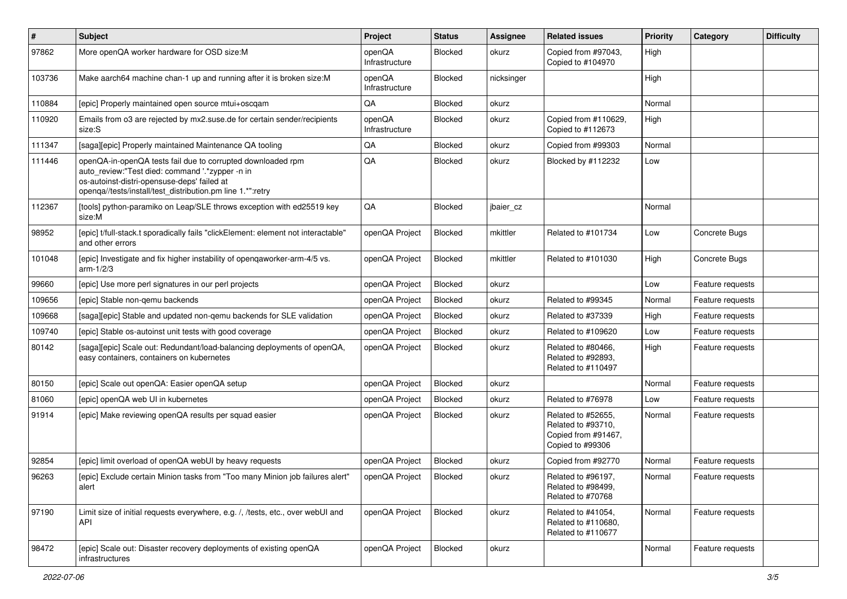| $\pmb{\#}$ | Subject                                                                                                                                                                                                                     | Project                  | <b>Status</b>  | Assignee   | <b>Related issues</b>                                                               | Priority | Category         | <b>Difficulty</b> |
|------------|-----------------------------------------------------------------------------------------------------------------------------------------------------------------------------------------------------------------------------|--------------------------|----------------|------------|-------------------------------------------------------------------------------------|----------|------------------|-------------------|
| 97862      | More openQA worker hardware for OSD size:M                                                                                                                                                                                  | openQA<br>Infrastructure | <b>Blocked</b> | okurz      | Copied from #97043,<br>Copied to #104970                                            | High     |                  |                   |
| 103736     | Make aarch64 machine chan-1 up and running after it is broken size: M                                                                                                                                                       | openQA<br>Infrastructure | <b>Blocked</b> | nicksinger |                                                                                     | High     |                  |                   |
| 110884     | [epic] Properly maintained open source mtui+oscgam                                                                                                                                                                          | QA                       | Blocked        | okurz      |                                                                                     | Normal   |                  |                   |
| 110920     | Emails from 03 are rejected by mx2.suse.de for certain sender/recipients<br>size:S                                                                                                                                          | openQA<br>Infrastructure | <b>Blocked</b> | okurz      | Copied from #110629,<br>Copied to #112673                                           | High     |                  |                   |
| 111347     | [saga][epic] Properly maintained Maintenance QA tooling                                                                                                                                                                     | QA                       | <b>Blocked</b> | okurz      | Copied from #99303                                                                  | Normal   |                  |                   |
| 111446     | openQA-in-openQA tests fail due to corrupted downloaded rpm<br>auto_review:"Test died: command '.*zypper -n in<br>os-autoinst-distri-opensuse-deps' failed at<br>openqa//tests/install/test_distribution.pm line 1.*":retry | QA                       | <b>Blocked</b> | okurz      | Blocked by #112232                                                                  | Low      |                  |                   |
| 112367     | [tools] python-paramiko on Leap/SLE throws exception with ed25519 key<br>size:M                                                                                                                                             | QA                       | <b>Blocked</b> | jbaier_cz  |                                                                                     | Normal   |                  |                   |
| 98952      | [epic] t/full-stack.t sporadically fails "clickElement: element not interactable"<br>and other errors                                                                                                                       | openQA Project           | <b>Blocked</b> | mkittler   | Related to #101734                                                                  | Low      | Concrete Bugs    |                   |
| 101048     | [epic] Investigate and fix higher instability of opengaworker-arm-4/5 vs.<br>$arm-1/2/3$                                                                                                                                    | openQA Project           | <b>Blocked</b> | mkittler   | Related to #101030                                                                  | High     | Concrete Bugs    |                   |
| 99660      | [epic] Use more perl signatures in our perl projects                                                                                                                                                                        | openQA Project           | <b>Blocked</b> | okurz      |                                                                                     | Low      | Feature requests |                   |
| 109656     | [epic] Stable non-gemu backends                                                                                                                                                                                             | openQA Project           | <b>Blocked</b> | okurz      | Related to #99345                                                                   | Normal   | Feature requests |                   |
| 109668     | [saga][epic] Stable and updated non-gemu backends for SLE validation                                                                                                                                                        | openQA Project           | <b>Blocked</b> | okurz      | Related to #37339                                                                   | High     | Feature requests |                   |
| 109740     | [epic] Stable os-autoinst unit tests with good coverage                                                                                                                                                                     | openQA Project           | <b>Blocked</b> | okurz      | Related to #109620                                                                  | Low      | Feature requests |                   |
| 80142      | [saga][epic] Scale out: Redundant/load-balancing deployments of openQA,<br>easy containers, containers on kubernetes                                                                                                        | openQA Project           | <b>Blocked</b> | okurz      | Related to #80466,<br>Related to #92893,<br>Related to #110497                      | High     | Feature requests |                   |
| 80150      | [epic] Scale out openQA: Easier openQA setup                                                                                                                                                                                | openQA Project           | <b>Blocked</b> | okurz      |                                                                                     | Normal   | Feature requests |                   |
| 81060      | [epic] openQA web UI in kubernetes                                                                                                                                                                                          | openQA Project           | <b>Blocked</b> | okurz      | Related to #76978                                                                   | Low      | Feature requests |                   |
| 91914      | [epic] Make reviewing openQA results per squad easier                                                                                                                                                                       | openQA Project           | <b>Blocked</b> | okurz      | Related to #52655,<br>Related to #93710,<br>Copied from #91467,<br>Copied to #99306 | Normal   | Feature requests |                   |
| 92854      | [epic] limit overload of openQA webUI by heavy requests                                                                                                                                                                     | openQA Project           | <b>Blocked</b> | okurz      | Copied from #92770                                                                  | Normal   | Feature requests |                   |
| 96263      | [epic] Exclude certain Minion tasks from "Too many Minion job failures alert"<br>alert                                                                                                                                      | openQA Project           | <b>Blocked</b> | okurz      | Related to #96197.<br>Related to #98499,<br>Related to #70768                       | Normal   | Feature requests |                   |
| 97190      | Limit size of initial requests everywhere, e.g. /, /tests, etc., over webUI and<br>API                                                                                                                                      | openQA Project           | Blocked        | okurz      | Related to #41054,<br>Related to #110680,<br>Related to #110677                     | Normal   | Feature requests |                   |
| 98472      | [epic] Scale out: Disaster recovery deployments of existing openQA<br>infrastructures                                                                                                                                       | openQA Project           | Blocked        | okurz      |                                                                                     | Normal   | Feature requests |                   |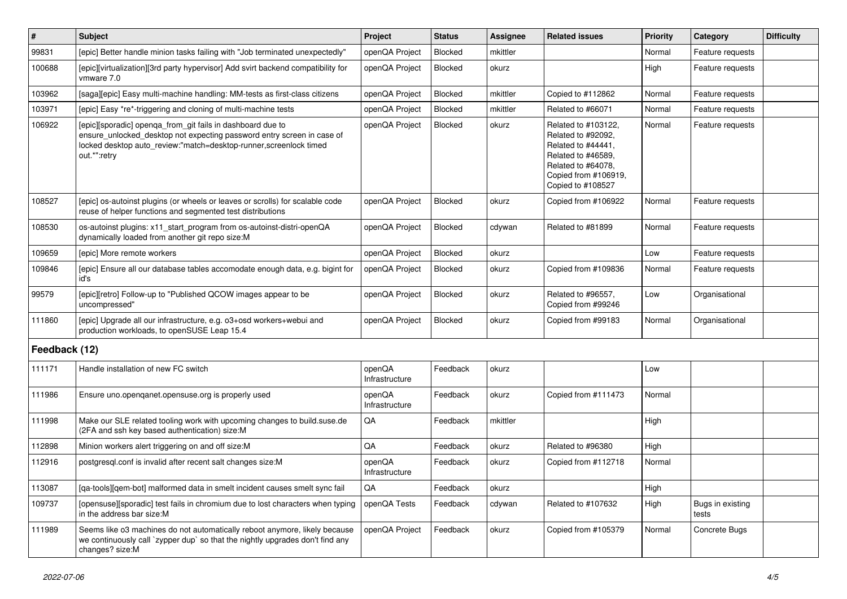| $\vert$ #     | <b>Subject</b>                                                                                                                                                                                                            | Project                  | <b>Status</b>  | Assignee | <b>Related issues</b>                                                                                                                                    | <b>Priority</b> | Category                  | <b>Difficulty</b> |
|---------------|---------------------------------------------------------------------------------------------------------------------------------------------------------------------------------------------------------------------------|--------------------------|----------------|----------|----------------------------------------------------------------------------------------------------------------------------------------------------------|-----------------|---------------------------|-------------------|
| 99831         | [epic] Better handle minion tasks failing with "Job terminated unexpectedly"                                                                                                                                              | openQA Project           | <b>Blocked</b> | mkittler |                                                                                                                                                          | Normal          | Feature requests          |                   |
| 100688        | [epic][virtualization][3rd party hypervisor] Add svirt backend compatibility for<br>vmware 7.0                                                                                                                            | openQA Project           | <b>Blocked</b> | okurz    |                                                                                                                                                          | High            | Feature requests          |                   |
| 103962        | [saga][epic] Easy multi-machine handling: MM-tests as first-class citizens                                                                                                                                                | openQA Project           | Blocked        | mkittler | Copied to #112862                                                                                                                                        | Normal          | Feature requests          |                   |
| 103971        | [epic] Easy *re*-triggering and cloning of multi-machine tests                                                                                                                                                            | openQA Project           | <b>Blocked</b> | mkittler | Related to #66071                                                                                                                                        | Normal          | Feature requests          |                   |
| 106922        | [epic][sporadic] openqa_from_git fails in dashboard due to<br>ensure_unlocked_desktop not expecting password entry screen in case of<br>locked desktop auto_review:"match=desktop-runner,screenlock timed<br>out.*":retry | openQA Project           | <b>Blocked</b> | okurz    | Related to #103122,<br>Related to #92092,<br>Related to #44441,<br>Related to #46589,<br>Related to #64078,<br>Copied from #106919,<br>Copied to #108527 | Normal          | Feature requests          |                   |
| 108527        | [epic] os-autoinst plugins (or wheels or leaves or scrolls) for scalable code<br>reuse of helper functions and segmented test distributions                                                                               | openQA Project           | <b>Blocked</b> | okurz    | Copied from #106922                                                                                                                                      | Normal          | Feature requests          |                   |
| 108530        | os-autoinst plugins: x11_start_program from os-autoinst-distri-openQA<br>dynamically loaded from another git repo size:M                                                                                                  | openQA Project           | <b>Blocked</b> | cdywan   | Related to #81899                                                                                                                                        | Normal          | Feature requests          |                   |
| 109659        | [epic] More remote workers                                                                                                                                                                                                | openQA Project           | <b>Blocked</b> | okurz    |                                                                                                                                                          | Low             | Feature requests          |                   |
| 109846        | [epic] Ensure all our database tables accomodate enough data, e.g. bigint for<br>id's                                                                                                                                     | openQA Project           | <b>Blocked</b> | okurz    | Copied from #109836                                                                                                                                      | Normal          | Feature requests          |                   |
| 99579         | [epic][retro] Follow-up to "Published QCOW images appear to be<br>uncompressed"                                                                                                                                           | openQA Project           | <b>Blocked</b> | okurz    | Related to #96557,<br>Copied from #99246                                                                                                                 | Low             | Organisational            |                   |
| 111860        | [epic] Upgrade all our infrastructure, e.g. o3+osd workers+webui and<br>production workloads, to openSUSE Leap 15.4                                                                                                       | openQA Project           | Blocked        | okurz    | Copied from #99183                                                                                                                                       | Normal          | Organisational            |                   |
| Feedback (12) |                                                                                                                                                                                                                           |                          |                |          |                                                                                                                                                          |                 |                           |                   |
| 111171        | Handle installation of new FC switch                                                                                                                                                                                      | openQA<br>Infrastructure | Feedback       | okurz    |                                                                                                                                                          | Low             |                           |                   |
| 111986        | Ensure uno.openganet.opensuse.org is properly used                                                                                                                                                                        | openQA<br>Infrastructure | Feedback       | okurz    | Copied from #111473                                                                                                                                      | Normal          |                           |                   |
| 111998        | Make our SLE related tooling work with upcoming changes to build.suse.de<br>(2FA and ssh key based authentication) size:M                                                                                                 | QA                       | Feedback       | mkittler |                                                                                                                                                          | High            |                           |                   |
| 112898        | Minion workers alert triggering on and off size:M                                                                                                                                                                         | QA                       | Feedback       | okurz    | Related to #96380                                                                                                                                        | High            |                           |                   |
| 112916        | postgresql.conf is invalid after recent salt changes size:M                                                                                                                                                               | openQA<br>Infrastructure | Feedback       | okurz    | Copied from #112718                                                                                                                                      | Normal          |                           |                   |
| 113087        | [qa-tools][qem-bot] malformed data in smelt incident causes smelt sync fail                                                                                                                                               | QA                       | Feedback       | okurz    |                                                                                                                                                          | High            |                           |                   |
| 109737        | [opensuse][sporadic] test fails in chromium due to lost characters when typing<br>in the address bar size:M                                                                                                               | openQA Tests             | Feedback       | cdywan   | Related to #107632                                                                                                                                       | High            | Bugs in existing<br>tests |                   |
| 111989        | Seems like o3 machines do not automatically reboot anymore, likely because<br>we continuously call `zypper dup` so that the nightly upgrades don't find any<br>changes? size:M                                            | openQA Project           | Feedback       | okurz    | Copied from #105379                                                                                                                                      | Normal          | Concrete Bugs             |                   |